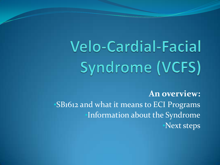# **Velo-Cardial-Facial** Syndrome (VCFS)

**An overview:** •SB1612 and what it means to ECI Programs •Information about the Syndrome •Next steps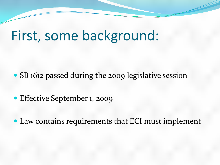### First, some background:

- SB 1612 passed during the 2009 legislative session
- Effective September 1, 2009
- Law contains requirements that ECI must implement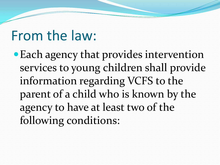### From the law:

Each agency that provides intervention services to young children shall provide information regarding VCFS to the parent of a child who is known by the agency to have at least two of the following conditions: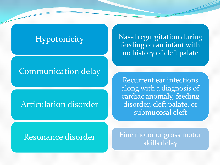#### **Hypotonicity**

#### Nasal regurgitation during feeding on an infant with no history of cleft palate

#### Communication delay

#### Articulation disorder

Recurrent ear infections along with a diagnosis of cardiac anomaly, feeding disorder, cleft palate, or submucosal cleft

#### Resonance disorder

Fine motor or gross motor skills delay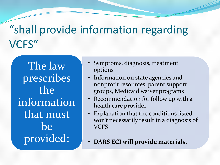### "shall provide information regarding VCFS"

The law prescribes the information that must be provided:

- Symptoms, diagnosis, treatment options
- Information on state agencies and nonprofit resources, parent support groups, Medicaid waiver programs
- Recommendation for follow up with a health care provider
- Explanation that the conditions listed won't necessarily result in a diagnosis of VCFS
- **DARS ECI will provide materials.**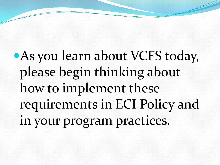## As you learn about VCFS today, please begin thinking about how to implement these requirements in ECI Policy and in your program practices.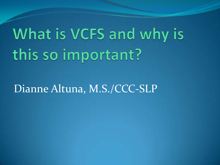## What is VCFS and why is this so important?

### Dianne Altuna, M.S./CCC-SLP